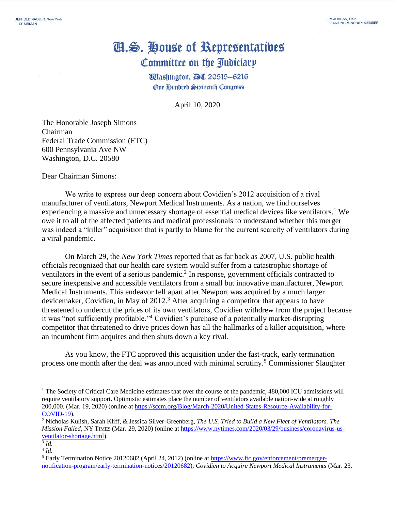## Cl.S. House of Representatives Committee on the Judiciary

**Washington, DC 20515-6216 One Hundred Sixteenth Congress** 

April 10, 2020

The Honorable Joseph Simons Chairman Federal Trade Commission (FTC) 600 Pennsylvania Ave NW Washington, D.C. 20580

Dear Chairman Simons:

We write to express our deep concern about Covidien's 2012 acquisition of a rival manufacturer of ventilators, Newport Medical Instruments. As a nation, we find ourselves experiencing a massive and unnecessary shortage of essential medical devices like ventilators.<sup>1</sup> We owe it to all of the affected patients and medical professionals to understand whether this merger was indeed a "killer" acquisition that is partly to blame for the current scarcity of ventilators during a viral pandemic.

On March 29, the *New York Times* reported that as far back as 2007, U.S. public health officials recognized that our health care system would suffer from a catastrophic shortage of ventilators in the event of a serious pandemic.<sup>2</sup> In response, government officials contracted to secure inexpensive and accessible ventilators from a small but innovative manufacturer, Newport Medical Instruments. This endeavor fell apart after Newport was acquired by a much larger devicemaker, Covidien, in May of 2012.<sup>3</sup> After acquiring a competitor that appears to have threatened to undercut the prices of its own ventilators, Covidien withdrew from the project because it was "not sufficiently profitable."<sup>4</sup> Covidien's purchase of a potentially market-disrupting competitor that threatened to drive prices down has all the hallmarks of a killer acquisition, where an incumbent firm acquires and then shuts down a key rival.

As you know, the FTC approved this acquisition under the fast-track, early termination process one month after the deal was announced with minimal scrutiny.<sup>5</sup> Commissioner Slaughter

<sup>&</sup>lt;sup>1</sup> The Society of Critical Care Medicine estimates that over the course of the pandemic, 480,000 ICU admissions will require ventilatory support. Optimistic estimates place the number of ventilators available nation-wide at roughly 200,000. (Mar. 19, 2020) (online a[t https://sccm.org/Blog/March-2020/United-States-Resource-Availability-for-](https://sccm.org/Blog/March-2020/United-States-Resource-Availability-for-COVID-19)[COVID-19\)](https://sccm.org/Blog/March-2020/United-States-Resource-Availability-for-COVID-19).

<sup>2</sup> Nicholas Kulish, Sarah Kliff, & Jessica Silver-Greenberg, *The U.S. Tried to Build a New Fleet of Ventilators. The Mission Failed*, NY TIMES (Mar. 29, 2020) (online at [https://www.nytimes.com/2020/03/29/business/coronavirus-us](https://www.nytimes.com/2020/03/29/business/coronavirus-us-ventilator-shortage.html)[ventilator-shortage.html\)](https://www.nytimes.com/2020/03/29/business/coronavirus-us-ventilator-shortage.html).

<sup>3</sup> *Id.*

<sup>4</sup> *Id.* 

<sup>5</sup> Early Termination Notice 20120682 (April 24, 2012) (online a[t https://www.ftc.gov/enforcement/premerger](https://www.ftc.gov/enforcement/premerger-notification-program/early-termination-notices/20120682)[notification-program/early-termination-notices/20120682\)](https://www.ftc.gov/enforcement/premerger-notification-program/early-termination-notices/20120682); *Covidien to Acquire Newport Medical Instruments* (Mar. 23,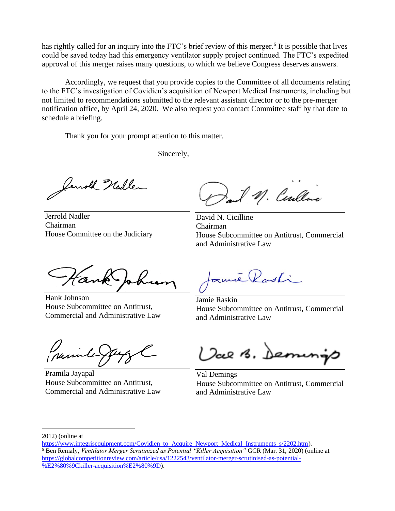has rightly called for an inquiry into the FTC's brief review of this merger.<sup>6</sup> It is possible that lives could be saved today had this emergency ventilator supply project continued. The FTC's expedited approval of this merger raises many questions, to which we believe Congress deserves answers.

Accordingly, we request that you provide copies to the Committee of all documents relating to the FTC's investigation of Covidien's acquisition of Newport Medical Instruments, including but not limited to recommendations submitted to the relevant assistant director or to the pre-merger notification office, by April 24, 2020. We also request you contact Committee staff by that date to schedule a briefing.

Thank you for your prompt attention to this matter.

Sincerely,

Cenold Hadle

Jerrold Nadler Chairman House Committee on the Judiciary

M. Centle

David N. Cicilline Chairman House Subcommittee on Antitrust, Commercial and Administrative Law

Hank Johnson House Subcommittee on Antitrust, Commercial and Administrative Law

 $z$ mé $\ell$ asti

Jamie Raskin House Subcommittee on Antitrust, Commercial and Administrative Law

Pramila Jayapal House Subcommittee on Antitrust, Commercial and Administrative Law

Val B. Dem

Val Demings House Subcommittee on Antitrust, Commercial and Administrative Law

<sup>2012) (</sup>online at

[https://www.integrisequipment.com/Covidien\\_to\\_Acquire\\_Newport\\_Medical\\_Instruments\\_s/2202.htm\)](https://www.integrisequipment.com/Covidien_to_Acquire_Newport_Medical_Instruments_s/2202.htm). <sup>6</sup> Ben Remaly, *Ventilator Merger Scrutinized as Potential "Killer Acquisition"* GCR (Mar. 31, 2020) (online at [https://globalcompetitionreview.com/article/usa/1222543/ventilator-merger-scrutinised-as-potential-](https://globalcompetitionreview.com/article/usa/1222543/ventilator-merger-scrutinised-as-potential-%E2%80%9Ckiller-acquisition%E2%80%9D) [%E2%80%9Ckiller-acquisition%E2%80%9D\)](https://globalcompetitionreview.com/article/usa/1222543/ventilator-merger-scrutinised-as-potential-%E2%80%9Ckiller-acquisition%E2%80%9D).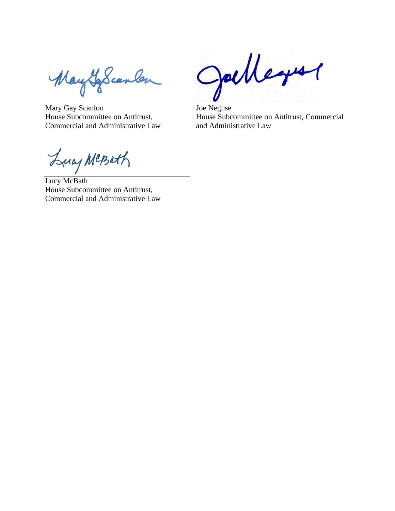MayLoscanler

Mary Gay Scanlon House Subcommittee on Antitrust, Commercial and Administrative Law

Julleyer

Joe Neguse House Subcommittee on Antitrust, Commercial and Administrative Law

Lucy MCBath Lucy McBath

House Subcommittee on Antitrust, Commercial and Administrative Law